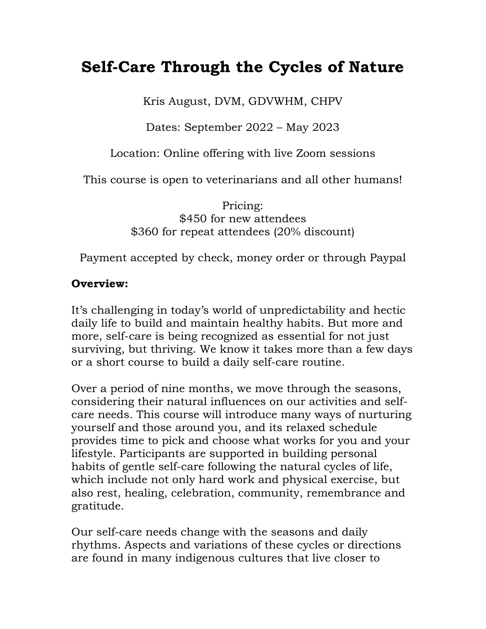# **Self-Care Through the Cycles of Nature**

Kris August, DVM, GDVWHM, CHPV

Dates: September 2022 – May 2023

Location: Online offering with live Zoom sessions

This course is open to veterinarians and all other humans!

Pricing: \$450 for new attendees \$360 for repeat attendees (20% discount)

Payment accepted by check, money order or through Paypal

#### **Overview:**

It's challenging in today's world of unpredictability and hectic daily life to build and maintain healthy habits. But more and more, self-care is being recognized as essential for not just surviving, but thriving. We know it takes more than a few days or a short course to build a daily self-care routine.

Over a period of nine months, we move through the seasons, considering their natural influences on our activities and selfcare needs. This course will introduce many ways of nurturing yourself and those around you, and its relaxed schedule provides time to pick and choose what works for you and your lifestyle. Participants are supported in building personal habits of gentle self-care following the natural cycles of life, which include not only hard work and physical exercise, but also rest, healing, celebration, community, remembrance and gratitude.

Our self-care needs change with the seasons and daily rhythms. Aspects and variations of these cycles or directions are found in many indigenous cultures that live closer to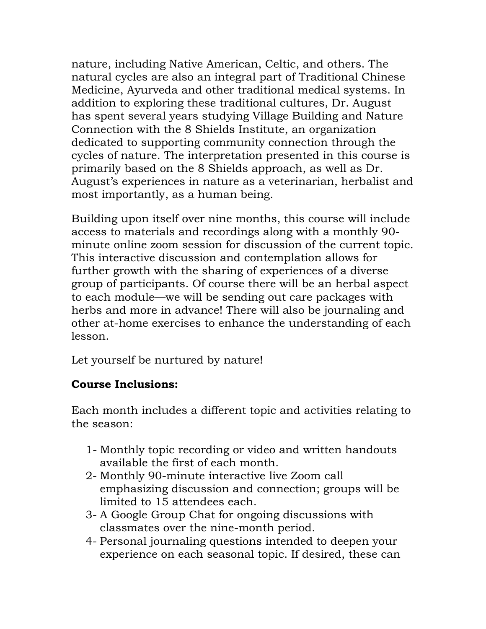nature, including Native American, Celtic, and others. The natural cycles are also an integral part of Traditional Chinese Medicine, Ayurveda and other traditional medical systems. In addition to exploring these traditional cultures, Dr. August has spent several years studying Village Building and Nature Connection with the 8 Shields Institute, an organization dedicated to supporting community connection through the cycles of nature. The interpretation presented in this course is primarily based on the 8 Shields approach, as well as Dr. August's experiences in nature as a veterinarian, herbalist and most importantly, as a human being.

Building upon itself over nine months, this course will include access to materials and recordings along with a monthly 90 minute online zoom session for discussion of the current topic. This interactive discussion and contemplation allows for further growth with the sharing of experiences of a diverse group of participants. Of course there will be an herbal aspect to each module—we will be sending out care packages with herbs and more in advance! There will also be journaling and other at-home exercises to enhance the understanding of each lesson.

Let yourself be nurtured by nature!

#### **Course Inclusions:**

Each month includes a different topic and activities relating to the season:

- 1- Monthly topic recording or video and written handouts available the first of each month.
- 2- Monthly 90-minute interactive live Zoom call emphasizing discussion and connection; groups will be limited to 15 attendees each.
- 3- A Google Group Chat for ongoing discussions with classmates over the nine-month period.
- 4- Personal journaling questions intended to deepen your experience on each seasonal topic. If desired, these can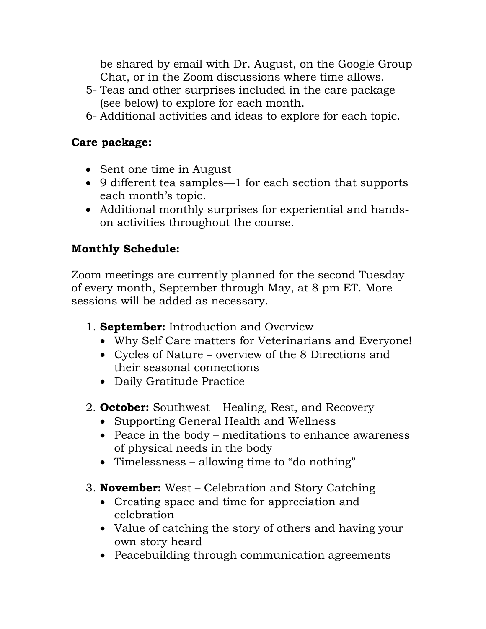be shared by email with Dr. August, on the Google Group Chat, or in the Zoom discussions where time allows.

- 5- Teas and other surprises included in the care package (see below) to explore for each month.
- 6- Additional activities and ideas to explore for each topic.

#### **Care package:**

- Sent one time in August
- 9 different tea samples—1 for each section that supports each month's topic.
- Additional monthly surprises for experiential and handson activities throughout the course.

## **Monthly Schedule:**

Zoom meetings are currently planned for the second Tuesday of every month, September through May, at 8 pm ET. More sessions will be added as necessary.

- 1. **September:** Introduction and Overview
	- Why Self Care matters for Veterinarians and Everyone!
	- Cycles of Nature overview of the 8 Directions and their seasonal connections
	- Daily Gratitude Practice
- 2. **October:** Southwest Healing, Rest, and Recovery
	- Supporting General Health and Wellness
	- Peace in the body meditations to enhance awareness of physical needs in the body
	- Timelessness allowing time to "do nothing"
- 3. **November:** West Celebration and Story Catching
	- Creating space and time for appreciation and celebration
	- Value of catching the story of others and having your own story heard
	- Peacebuilding through communication agreements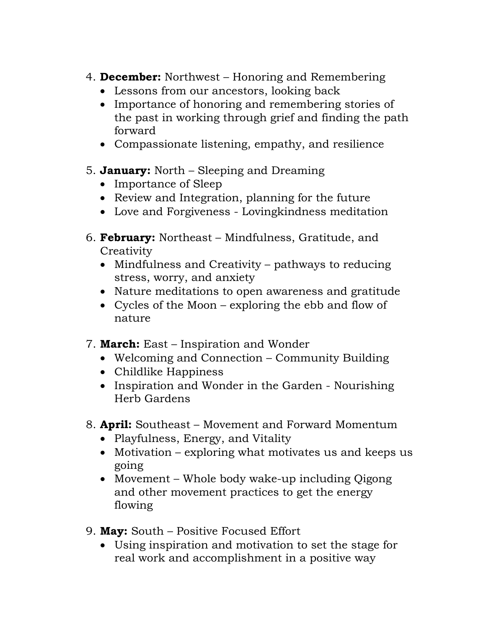- 4. **December:** Northwest Honoring and Remembering
	- Lessons from our ancestors, looking back
	- Importance of honoring and remembering stories of the past in working through grief and finding the path forward
	- Compassionate listening, empathy, and resilience
- 5. **January:** North Sleeping and Dreaming
	- Importance of Sleep
	- Review and Integration, planning for the future
	- Love and Forgiveness Lovingkindness meditation
- 6. **February:** Northeast Mindfulness, Gratitude, and **Creativity** 
	- Mindfulness and Creativity pathways to reducing stress, worry, and anxiety
	- Nature meditations to open awareness and gratitude
	- Cycles of the Moon exploring the ebb and flow of nature
- 7. **March:** East Inspiration and Wonder
	- Welcoming and Connection Community Building
	- Childlike Happiness
	- Inspiration and Wonder in the Garden Nourishing Herb Gardens
- 8. **April:** Southeast Movement and Forward Momentum
	- Playfulness, Energy, and Vitality
	- Motivation exploring what motivates us and keeps us going
	- Movement Whole body wake-up including Qigong and other movement practices to get the energy flowing
- 9. **May:** South Positive Focused Effort
	- Using inspiration and motivation to set the stage for real work and accomplishment in a positive way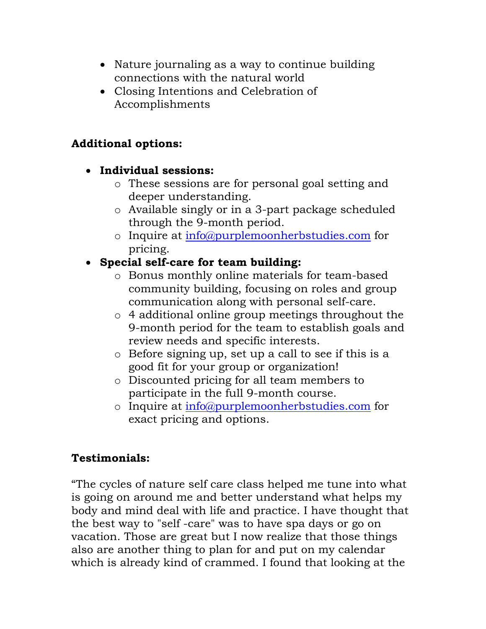- Nature journaling as a way to continue building connections with the natural world
- Closing Intentions and Celebration of Accomplishments

### **Additional options:**

#### • **Individual sessions:**

- o These sessions are for personal goal setting and deeper understanding.
- o Available singly or in a 3-part package scheduled through the 9-month period.
- o Inquire at [info@purplemoonherbstudies.com](mailto:info@purplemoonherbstudies.com) for pricing.

# • **Special self-care for team building:**

- o Bonus monthly online materials for team-based community building, focusing on roles and group communication along with personal self-care.
- o 4 additional online group meetings throughout the 9-month period for the team to establish goals and review needs and specific interests.
- o Before signing up, set up a call to see if this is a good fit for your group or organization!
- o Discounted pricing for all team members to participate in the full 9-month course.
- o Inquire at [info@purplemoonherbstudies.com](mailto:info@purplemoonherbstudies.com) for exact pricing and options.

## **Testimonials:**

"The cycles of nature self care class helped me tune into what is going on around me and better understand what helps my body and mind deal with life and practice. I have thought that the best way to "self -care" was to have spa days or go on vacation. Those are great but I now realize that those things also are another thing to plan for and put on my calendar which is already kind of crammed. I found that looking at the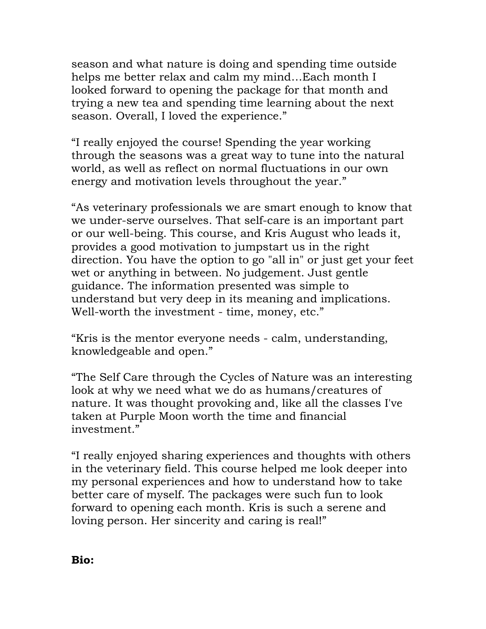season and what nature is doing and spending time outside helps me better relax and calm my mind…Each month I looked forward to opening the package for that month and trying a new tea and spending time learning about the next season. Overall, I loved the experience."

"I really enjoyed the course! Spending the year working through the seasons was a great way to tune into the natural world, as well as reflect on normal fluctuations in our own energy and motivation levels throughout the year."

"As veterinary professionals we are smart enough to know that we under-serve ourselves. That self-care is an important part or our well-being. This course, and Kris August who leads it, provides a good motivation to jumpstart us in the right direction. You have the option to go "all in" or just get your feet wet or anything in between. No judgement. Just gentle guidance. The information presented was simple to understand but very deep in its meaning and implications. Well-worth the investment - time, money, etc."

"Kris is the mentor everyone needs - calm, understanding, knowledgeable and open."

"The Self Care through the Cycles of Nature was an interesting look at why we need what we do as humans/creatures of nature. It was thought provoking and, like all the classes I've taken at Purple Moon worth the time and financial investment."

"I really enjoyed sharing experiences and thoughts with others in the veterinary field. This course helped me look deeper into my personal experiences and how to understand how to take better care of myself. The packages were such fun to look forward to opening each month. Kris is such a serene and loving person. Her sincerity and caring is real!"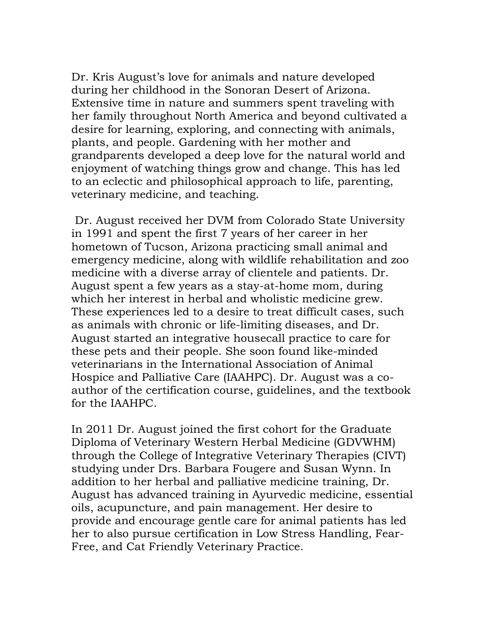Dr. Kris August's love for animals and nature developed during her childhood in the Sonoran Desert of Arizona. Extensive time in nature and summers spent traveling with her family throughout North America and beyond cultivated a desire for learning, exploring, and connecting with animals, plants, and people. Gardening with her mother and grandparents developed a deep love for the natural world and enjoyment of watching things grow and change. This has led to an eclectic and philosophical approach to life, parenting, veterinary medicine, and teaching.

Dr. August received her DVM from Colorado State University in 1991 and spent the first 7 years of her career in her hometown of Tucson, Arizona practicing small animal and emergency medicine, along with wildlife rehabilitation and zoo medicine with a diverse array of clientele and patients. Dr. August spent a few years as a stay-at-home mom, during which her interest in herbal and wholistic medicine grew. These experiences led to a desire to treat difficult cases, such as animals with chronic or life-limiting diseases, and Dr. August started an integrative housecall practice to care for these pets and their people. She soon found like-minded veterinarians in the International Association of Animal Hospice and Palliative Care (IAAHPC). Dr. August was a coauthor of the certification course, guidelines, and the textbook for the IAAHPC.

In 2011 Dr. August joined the first cohort for the Graduate Diploma of Veterinary Western Herbal Medicine (GDVWHM) through the College of Integrative Veterinary Therapies (CIVT) studying under Drs. Barbara Fougere and Susan Wynn. In addition to her herbal and palliative medicine training, Dr. August has advanced training in Ayurvedic medicine, essential oils, acupuncture, and pain management. Her desire to provide and encourage gentle care for animal patients has led her to also pursue certification in Low Stress Handling, Fear-Free, and Cat Friendly Veterinary Practice.